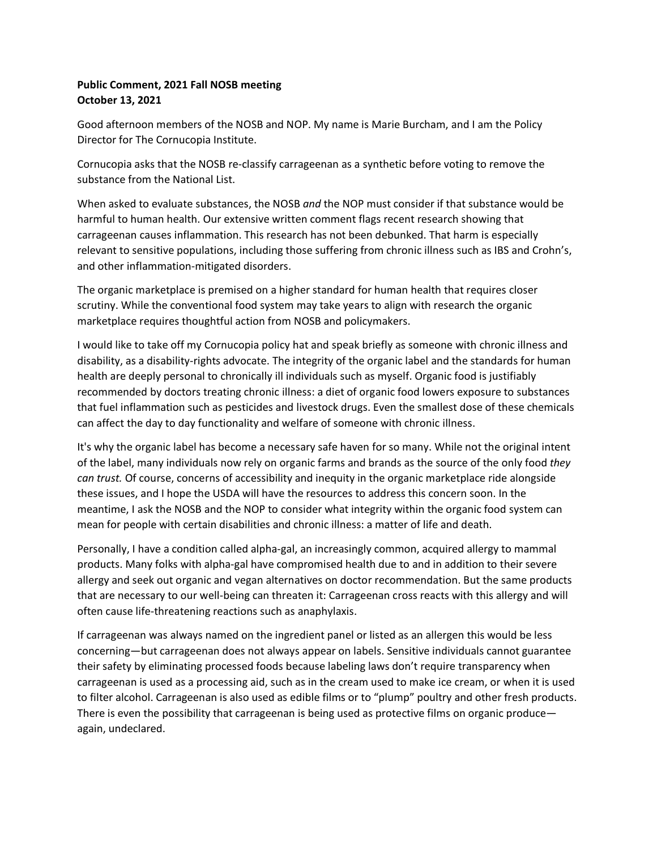## **Public Comment, 2021 Fall NOSB meeting October 13, 2021**

Good afternoon members of the NOSB and NOP. My name is Marie Burcham, and I am the Policy Director for The Cornucopia Institute.

Cornucopia asks that the NOSB re-classify carrageenan as a synthetic before voting to remove the substance from the National List.

When asked to evaluate substances, the NOSB *and* the NOP must consider if that substance would be harmful to human health. Our extensive written comment flags recent research showing that carrageenan causes inflammation. This research has not been debunked. That harm is especially relevant to sensitive populations, including those suffering from chronic illness such as IBS and Crohn's, and other inflammation-mitigated disorders.

The organic marketplace is premised on a higher standard for human health that requires closer scrutiny. While the conventional food system may take years to align with research the organic marketplace requires thoughtful action from NOSB and policymakers.

I would like to take off my Cornucopia policy hat and speak briefly as someone with chronic illness and disability, as a disability-rights advocate. The integrity of the organic label and the standards for human health are deeply personal to chronically ill individuals such as myself. Organic food is justifiably recommended by doctors treating chronic illness: a diet of organic food lowers exposure to substances that fuel inflammation such as pesticides and livestock drugs. Even the smallest dose of these chemicals can affect the day to day functionality and welfare of someone with chronic illness.

It's why the organic label has become a necessary safe haven for so many. While not the original intent of the label, many individuals now rely on organic farms and brands as the source of the only food *they can trust.* Of course, concerns of accessibility and inequity in the organic marketplace ride alongside these issues, and I hope the USDA will have the resources to address this concern soon. In the meantime, I ask the NOSB and the NOP to consider what integrity within the organic food system can mean for people with certain disabilities and chronic illness: a matter of life and death.

Personally, I have a condition called alpha-gal, an increasingly common, acquired allergy to mammal products. Many folks with alpha-gal have compromised health due to and in addition to their severe allergy and seek out organic and vegan alternatives on doctor recommendation. But the same products that are necessary to our well-being can threaten it: Carrageenan cross reacts with this allergy and will often cause life-threatening reactions such as anaphylaxis.

If carrageenan was always named on the ingredient panel or listed as an allergen this would be less concerning—but carrageenan does not always appear on labels. Sensitive individuals cannot guarantee their safety by eliminating processed foods because labeling laws don't require transparency when carrageenan is used as a processing aid, such as in the cream used to make ice cream, or when it is used to filter alcohol. Carrageenan is also used as edible films or to "plump" poultry and other fresh products. There is even the possibility that carrageenan is being used as protective films on organic produce again, undeclared.